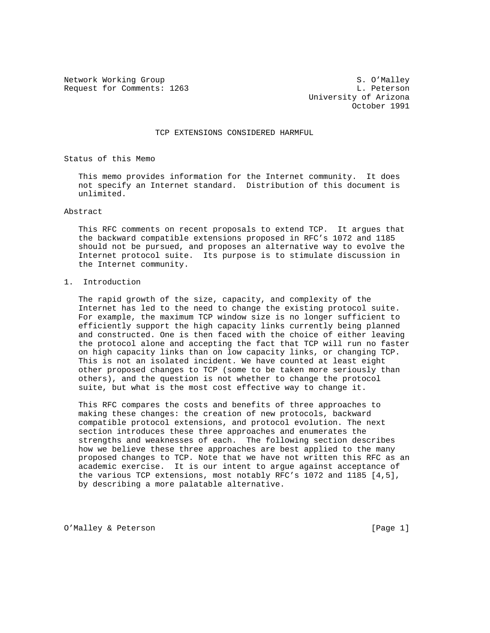Network Working Group S. O'Malley Request for Comments: 1263 L. Peterson

 University of Arizona October 1991

#### TCP EXTENSIONS CONSIDERED HARMFUL

Status of this Memo

 This memo provides information for the Internet community. It does not specify an Internet standard. Distribution of this document is unlimited.

#### Abstract

 This RFC comments on recent proposals to extend TCP. It argues that the backward compatible extensions proposed in RFC's 1072 and 1185 should not be pursued, and proposes an alternative way to evolve the Internet protocol suite. Its purpose is to stimulate discussion in the Internet community.

### 1. Introduction

 The rapid growth of the size, capacity, and complexity of the Internet has led to the need to change the existing protocol suite. For example, the maximum TCP window size is no longer sufficient to efficiently support the high capacity links currently being planned and constructed. One is then faced with the choice of either leaving the protocol alone and accepting the fact that TCP will run no faster on high capacity links than on low capacity links, or changing TCP. This is not an isolated incident. We have counted at least eight other proposed changes to TCP (some to be taken more seriously than others), and the question is not whether to change the protocol suite, but what is the most cost effective way to change it.

 This RFC compares the costs and benefits of three approaches to making these changes: the creation of new protocols, backward compatible protocol extensions, and protocol evolution. The next section introduces these three approaches and enumerates the strengths and weaknesses of each. The following section describes how we believe these three approaches are best applied to the many proposed changes to TCP. Note that we have not written this RFC as an academic exercise. It is our intent to argue against acceptance of the various TCP extensions, most notably RFC's 1072 and 1185 [4,5], by describing a more palatable alternative.

O'Malley & Peterson [Page 1]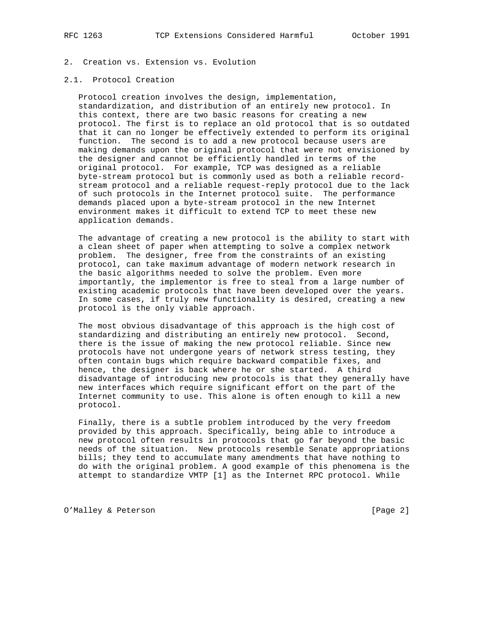- 2. Creation vs. Extension vs. Evolution
- 2.1. Protocol Creation

 Protocol creation involves the design, implementation, standardization, and distribution of an entirely new protocol. In this context, there are two basic reasons for creating a new protocol. The first is to replace an old protocol that is so outdated that it can no longer be effectively extended to perform its original function. The second is to add a new protocol because users are making demands upon the original protocol that were not envisioned by the designer and cannot be efficiently handled in terms of the original protocol. For example, TCP was designed as a reliable byte-stream protocol but is commonly used as both a reliable record stream protocol and a reliable request-reply protocol due to the lack of such protocols in the Internet protocol suite. The performance demands placed upon a byte-stream protocol in the new Internet environment makes it difficult to extend TCP to meet these new application demands.

 The advantage of creating a new protocol is the ability to start with a clean sheet of paper when attempting to solve a complex network problem. The designer, free from the constraints of an existing protocol, can take maximum advantage of modern network research in the basic algorithms needed to solve the problem. Even more importantly, the implementor is free to steal from a large number of existing academic protocols that have been developed over the years. In some cases, if truly new functionality is desired, creating a new protocol is the only viable approach.

 The most obvious disadvantage of this approach is the high cost of standardizing and distributing an entirely new protocol. Second, there is the issue of making the new protocol reliable. Since new protocols have not undergone years of network stress testing, they often contain bugs which require backward compatible fixes, and hence, the designer is back where he or she started. A third disadvantage of introducing new protocols is that they generally have new interfaces which require significant effort on the part of the Internet community to use. This alone is often enough to kill a new protocol.

 Finally, there is a subtle problem introduced by the very freedom provided by this approach. Specifically, being able to introduce a new protocol often results in protocols that go far beyond the basic needs of the situation. New protocols resemble Senate appropriations bills; they tend to accumulate many amendments that have nothing to do with the original problem. A good example of this phenomena is the attempt to standardize VMTP [1] as the Internet RPC protocol. While

O'Malley & Peterson [Page 2]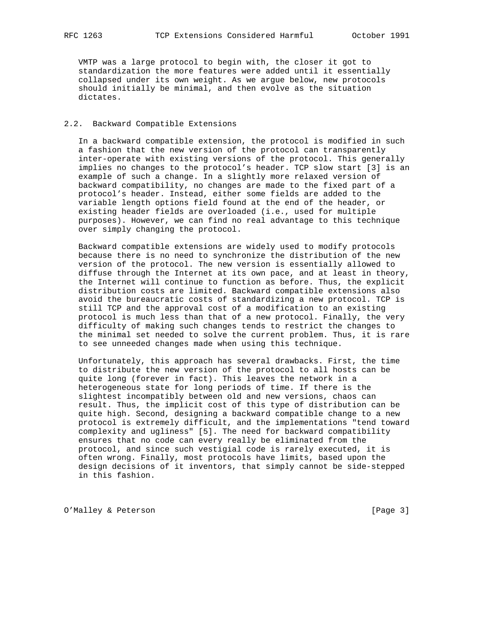VMTP was a large protocol to begin with, the closer it got to standardization the more features were added until it essentially collapsed under its own weight. As we argue below, new protocols should initially be minimal, and then evolve as the situation dictates.

### 2.2. Backward Compatible Extensions

 In a backward compatible extension, the protocol is modified in such a fashion that the new version of the protocol can transparently inter-operate with existing versions of the protocol. This generally implies no changes to the protocol's header. TCP slow start [3] is an example of such a change. In a slightly more relaxed version of backward compatibility, no changes are made to the fixed part of a protocol's header. Instead, either some fields are added to the variable length options field found at the end of the header, or existing header fields are overloaded (i.e., used for multiple purposes). However, we can find no real advantage to this technique over simply changing the protocol.

 Backward compatible extensions are widely used to modify protocols because there is no need to synchronize the distribution of the new version of the protocol. The new version is essentially allowed to diffuse through the Internet at its own pace, and at least in theory, the Internet will continue to function as before. Thus, the explicit distribution costs are limited. Backward compatible extensions also avoid the bureaucratic costs of standardizing a new protocol. TCP is still TCP and the approval cost of a modification to an existing protocol is much less than that of a new protocol. Finally, the very difficulty of making such changes tends to restrict the changes to the minimal set needed to solve the current problem. Thus, it is rare to see unneeded changes made when using this technique.

 Unfortunately, this approach has several drawbacks. First, the time to distribute the new version of the protocol to all hosts can be quite long (forever in fact). This leaves the network in a heterogeneous state for long periods of time. If there is the slightest incompatibly between old and new versions, chaos can result. Thus, the implicit cost of this type of distribution can be quite high. Second, designing a backward compatible change to a new protocol is extremely difficult, and the implementations "tend toward complexity and ugliness" [5]. The need for backward compatibility ensures that no code can every really be eliminated from the protocol, and since such vestigial code is rarely executed, it is often wrong. Finally, most protocols have limits, based upon the design decisions of it inventors, that simply cannot be side-stepped in this fashion.

O'Malley & Peterson [Page 3]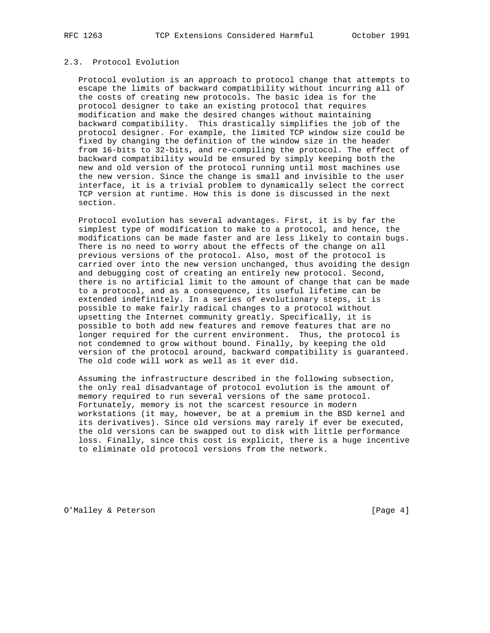## 2.3. Protocol Evolution

 Protocol evolution is an approach to protocol change that attempts to escape the limits of backward compatibility without incurring all of the costs of creating new protocols. The basic idea is for the protocol designer to take an existing protocol that requires modification and make the desired changes without maintaining backward compatibility. This drastically simplifies the job of the protocol designer. For example, the limited TCP window size could be fixed by changing the definition of the window size in the header from 16-bits to 32-bits, and re-compiling the protocol. The effect of backward compatibility would be ensured by simply keeping both the new and old version of the protocol running until most machines use the new version. Since the change is small and invisible to the user interface, it is a trivial problem to dynamically select the correct TCP version at runtime. How this is done is discussed in the next section.

 Protocol evolution has several advantages. First, it is by far the simplest type of modification to make to a protocol, and hence, the modifications can be made faster and are less likely to contain bugs. There is no need to worry about the effects of the change on all previous versions of the protocol. Also, most of the protocol is carried over into the new version unchanged, thus avoiding the design and debugging cost of creating an entirely new protocol. Second, there is no artificial limit to the amount of change that can be made to a protocol, and as a consequence, its useful lifetime can be extended indefinitely. In a series of evolutionary steps, it is possible to make fairly radical changes to a protocol without upsetting the Internet community greatly. Specifically, it is possible to both add new features and remove features that are no longer required for the current environment. Thus, the protocol is not condemned to grow without bound. Finally, by keeping the old version of the protocol around, backward compatibility is guaranteed. The old code will work as well as it ever did.

 Assuming the infrastructure described in the following subsection, the only real disadvantage of protocol evolution is the amount of memory required to run several versions of the same protocol. Fortunately, memory is not the scarcest resource in modern workstations (it may, however, be at a premium in the BSD kernel and its derivatives). Since old versions may rarely if ever be executed, the old versions can be swapped out to disk with little performance loss. Finally, since this cost is explicit, there is a huge incentive to eliminate old protocol versions from the network.

O'Malley & Peterson [Page 4]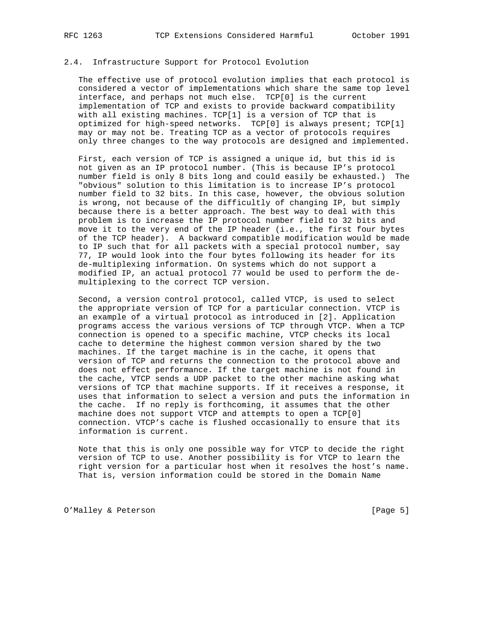# 2.4. Infrastructure Support for Protocol Evolution

 The effective use of protocol evolution implies that each protocol is considered a vector of implementations which share the same top level interface, and perhaps not much else. TCP[0] is the current implementation of TCP and exists to provide backward compatibility with all existing machines. TCP[1] is a version of TCP that is optimized for high-speed networks. TCP[0] is always present; TCP[1] may or may not be. Treating TCP as a vector of protocols requires only three changes to the way protocols are designed and implemented.

 First, each version of TCP is assigned a unique id, but this id is not given as an IP protocol number. (This is because IP's protocol number field is only 8 bits long and could easily be exhausted.) The "obvious" solution to this limitation is to increase IP's protocol number field to 32 bits. In this case, however, the obvious solution is wrong, not because of the difficultly of changing IP, but simply because there is a better approach. The best way to deal with this problem is to increase the IP protocol number field to 32 bits and move it to the very end of the IP header (i.e., the first four bytes of the TCP header). A backward compatible modification would be made to IP such that for all packets with a special protocol number, say 77, IP would look into the four bytes following its header for its de-multiplexing information. On systems which do not support a modified IP, an actual protocol 77 would be used to perform the de multiplexing to the correct TCP version.

 Second, a version control protocol, called VTCP, is used to select the appropriate version of TCP for a particular connection. VTCP is an example of a virtual protocol as introduced in [2]. Application programs access the various versions of TCP through VTCP. When a TCP connection is opened to a specific machine, VTCP checks its local cache to determine the highest common version shared by the two machines. If the target machine is in the cache, it opens that version of TCP and returns the connection to the protocol above and does not effect performance. If the target machine is not found in the cache, VTCP sends a UDP packet to the other machine asking what versions of TCP that machine supports. If it receives a response, it uses that information to select a version and puts the information in the cache. If no reply is forthcoming, it assumes that the other machine does not support VTCP and attempts to open a TCP[0] connection. VTCP's cache is flushed occasionally to ensure that its information is current.

 Note that this is only one possible way for VTCP to decide the right version of TCP to use. Another possibility is for VTCP to learn the right version for a particular host when it resolves the host's name. That is, version information could be stored in the Domain Name

O'Malley & Peterson [Page 5]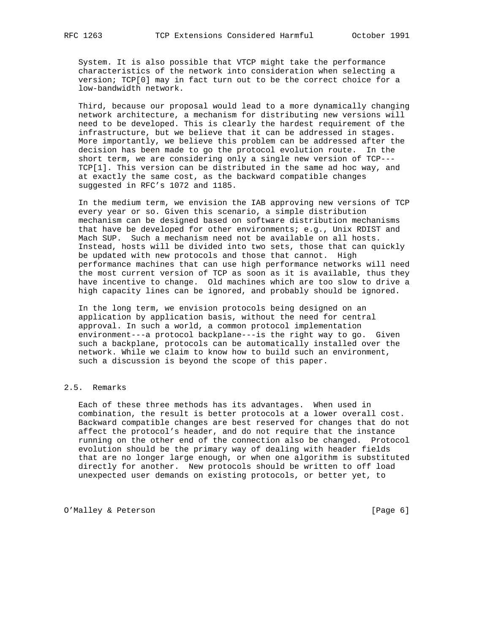System. It is also possible that VTCP might take the performance characteristics of the network into consideration when selecting a version; TCP[0] may in fact turn out to be the correct choice for a low-bandwidth network.

 Third, because our proposal would lead to a more dynamically changing network architecture, a mechanism for distributing new versions will need to be developed. This is clearly the hardest requirement of the infrastructure, but we believe that it can be addressed in stages. More importantly, we believe this problem can be addressed after the decision has been made to go the protocol evolution route. In the short term, we are considering only a single new version of TCP--- TCP[1]. This version can be distributed in the same ad hoc way, and at exactly the same cost, as the backward compatible changes suggested in RFC's 1072 and 1185.

 In the medium term, we envision the IAB approving new versions of TCP every year or so. Given this scenario, a simple distribution mechanism can be designed based on software distribution mechanisms that have be developed for other environments; e.g., Unix RDIST and Mach SUP. Such a mechanism need not be available on all hosts. Instead, hosts will be divided into two sets, those that can quickly be updated with new protocols and those that cannot. High performance machines that can use high performance networks will need the most current version of TCP as soon as it is available, thus they have incentive to change. Old machines which are too slow to drive a high capacity lines can be ignored, and probably should be ignored.

 In the long term, we envision protocols being designed on an application by application basis, without the need for central approval. In such a world, a common protocol implementation environment---a protocol backplane---is the right way to go. Given such a backplane, protocols can be automatically installed over the network. While we claim to know how to build such an environment, such a discussion is beyond the scope of this paper.

## 2.5. Remarks

 Each of these three methods has its advantages. When used in combination, the result is better protocols at a lower overall cost. Backward compatible changes are best reserved for changes that do not affect the protocol's header, and do not require that the instance running on the other end of the connection also be changed. Protocol evolution should be the primary way of dealing with header fields that are no longer large enough, or when one algorithm is substituted directly for another. New protocols should be written to off load unexpected user demands on existing protocols, or better yet, to

O'Malley & Peterson [Page 6]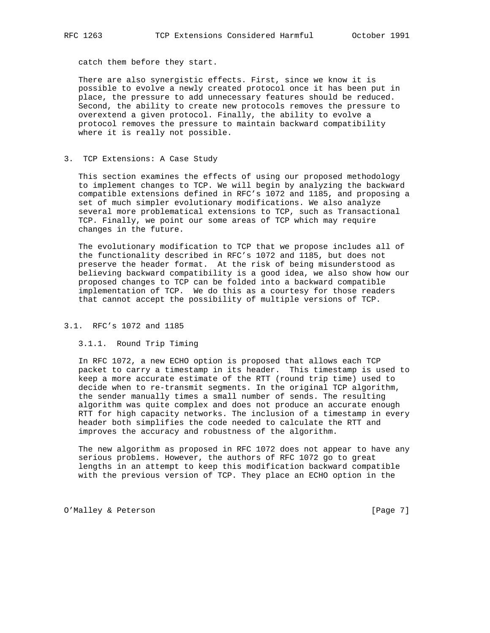catch them before they start.

 There are also synergistic effects. First, since we know it is possible to evolve a newly created protocol once it has been put in place, the pressure to add unnecessary features should be reduced. Second, the ability to create new protocols removes the pressure to overextend a given protocol. Finally, the ability to evolve a protocol removes the pressure to maintain backward compatibility where it is really not possible.

#### 3. TCP Extensions: A Case Study

 This section examines the effects of using our proposed methodology to implement changes to TCP. We will begin by analyzing the backward compatible extensions defined in RFC's 1072 and 1185, and proposing a set of much simpler evolutionary modifications. We also analyze several more problematical extensions to TCP, such as Transactional TCP. Finally, we point our some areas of TCP which may require changes in the future.

 The evolutionary modification to TCP that we propose includes all of the functionality described in RFC's 1072 and 1185, but does not preserve the header format. At the risk of being misunderstood as believing backward compatibility is a good idea, we also show how our proposed changes to TCP can be folded into a backward compatible implementation of TCP. We do this as a courtesy for those readers that cannot accept the possibility of multiple versions of TCP.

# 3.1. RFC's 1072 and 1185

#### 3.1.1. Round Trip Timing

 In RFC 1072, a new ECHO option is proposed that allows each TCP packet to carry a timestamp in its header. This timestamp is used to keep a more accurate estimate of the RTT (round trip time) used to decide when to re-transmit segments. In the original TCP algorithm, the sender manually times a small number of sends. The resulting algorithm was quite complex and does not produce an accurate enough RTT for high capacity networks. The inclusion of a timestamp in every header both simplifies the code needed to calculate the RTT and improves the accuracy and robustness of the algorithm.

 The new algorithm as proposed in RFC 1072 does not appear to have any serious problems. However, the authors of RFC 1072 go to great lengths in an attempt to keep this modification backward compatible with the previous version of TCP. They place an ECHO option in the

O'Malley & Peterson [Page 7]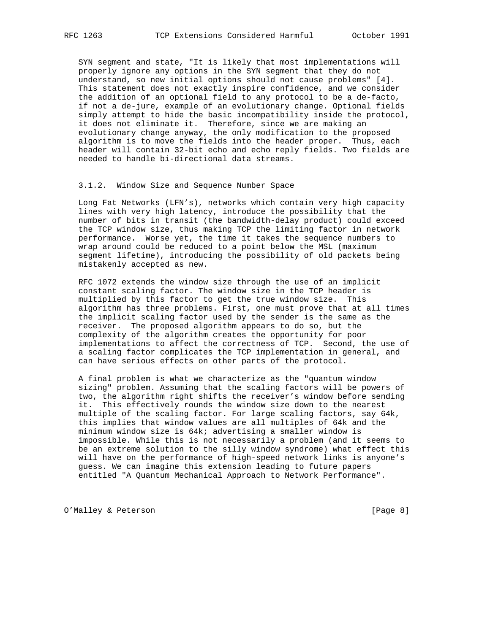SYN segment and state, "It is likely that most implementations will properly ignore any options in the SYN segment that they do not understand, so new initial options should not cause problems" [4]. This statement does not exactly inspire confidence, and we consider the addition of an optional field to any protocol to be a de-facto, if not a de-jure, example of an evolutionary change. Optional fields simply attempt to hide the basic incompatibility inside the protocol, it does not eliminate it. Therefore, since we are making an evolutionary change anyway, the only modification to the proposed algorithm is to move the fields into the header proper. Thus, each header will contain 32-bit echo and echo reply fields. Two fields are needed to handle bi-directional data streams.

#### 3.1.2. Window Size and Sequence Number Space

 Long Fat Networks (LFN's), networks which contain very high capacity lines with very high latency, introduce the possibility that the number of bits in transit (the bandwidth-delay product) could exceed the TCP window size, thus making TCP the limiting factor in network performance. Worse yet, the time it takes the sequence numbers to wrap around could be reduced to a point below the MSL (maximum segment lifetime), introducing the possibility of old packets being mistakenly accepted as new.

 RFC 1072 extends the window size through the use of an implicit constant scaling factor. The window size in the TCP header is multiplied by this factor to get the true window size. This algorithm has three problems. First, one must prove that at all times the implicit scaling factor used by the sender is the same as the receiver. The proposed algorithm appears to do so, but the complexity of the algorithm creates the opportunity for poor implementations to affect the correctness of TCP. Second, the use of a scaling factor complicates the TCP implementation in general, and can have serious effects on other parts of the protocol.

 A final problem is what we characterize as the "quantum window sizing" problem. Assuming that the scaling factors will be powers of two, the algorithm right shifts the receiver's window before sending it. This effectively rounds the window size down to the nearest multiple of the scaling factor. For large scaling factors, say 64k, this implies that window values are all multiples of 64k and the minimum window size is 64k; advertising a smaller window is impossible. While this is not necessarily a problem (and it seems to be an extreme solution to the silly window syndrome) what effect this will have on the performance of high-speed network links is anyone's guess. We can imagine this extension leading to future papers entitled "A Quantum Mechanical Approach to Network Performance".

O'Malley & Peterson [Page 8]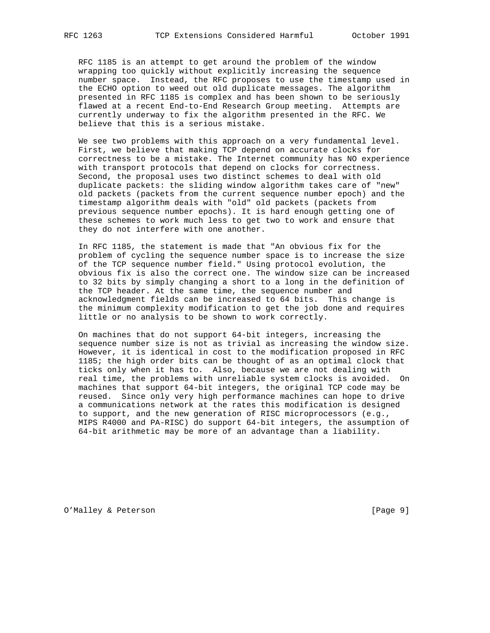RFC 1185 is an attempt to get around the problem of the window wrapping too quickly without explicitly increasing the sequence number space. Instead, the RFC proposes to use the timestamp used in the ECHO option to weed out old duplicate messages. The algorithm presented in RFC 1185 is complex and has been shown to be seriously flawed at a recent End-to-End Research Group meeting. Attempts are currently underway to fix the algorithm presented in the RFC. We believe that this is a serious mistake.

 We see two problems with this approach on a very fundamental level. First, we believe that making TCP depend on accurate clocks for correctness to be a mistake. The Internet community has NO experience with transport protocols that depend on clocks for correctness. Second, the proposal uses two distinct schemes to deal with old duplicate packets: the sliding window algorithm takes care of "new" old packets (packets from the current sequence number epoch) and the timestamp algorithm deals with "old" old packets (packets from previous sequence number epochs). It is hard enough getting one of these schemes to work much less to get two to work and ensure that they do not interfere with one another.

 In RFC 1185, the statement is made that "An obvious fix for the problem of cycling the sequence number space is to increase the size of the TCP sequence number field." Using protocol evolution, the obvious fix is also the correct one. The window size can be increased to 32 bits by simply changing a short to a long in the definition of the TCP header. At the same time, the sequence number and acknowledgment fields can be increased to 64 bits. This change is the minimum complexity modification to get the job done and requires little or no analysis to be shown to work correctly.

 On machines that do not support 64-bit integers, increasing the sequence number size is not as trivial as increasing the window size. However, it is identical in cost to the modification proposed in RFC 1185; the high order bits can be thought of as an optimal clock that ticks only when it has to. Also, because we are not dealing with real time, the problems with unreliable system clocks is avoided. On machines that support 64-bit integers, the original TCP code may be reused. Since only very high performance machines can hope to drive a communications network at the rates this modification is designed to support, and the new generation of RISC microprocessors (e.g., MIPS R4000 and PA-RISC) do support 64-bit integers, the assumption of 64-bit arithmetic may be more of an advantage than a liability.

O'Malley & Peterson [Page 9]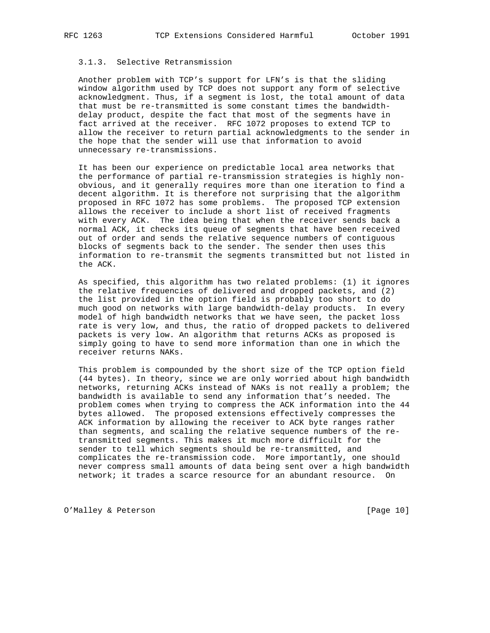# 3.1.3. Selective Retransmission

 Another problem with TCP's support for LFN's is that the sliding window algorithm used by TCP does not support any form of selective acknowledgment. Thus, if a segment is lost, the total amount of data that must be re-transmitted is some constant times the bandwidth delay product, despite the fact that most of the segments have in fact arrived at the receiver. RFC 1072 proposes to extend TCP to allow the receiver to return partial acknowledgments to the sender in the hope that the sender will use that information to avoid unnecessary re-transmissions.

 It has been our experience on predictable local area networks that the performance of partial re-transmission strategies is highly non obvious, and it generally requires more than one iteration to find a decent algorithm. It is therefore not surprising that the algorithm proposed in RFC 1072 has some problems. The proposed TCP extension allows the receiver to include a short list of received fragments with every ACK. The idea being that when the receiver sends back a normal ACK, it checks its queue of segments that have been received out of order and sends the relative sequence numbers of contiguous blocks of segments back to the sender. The sender then uses this information to re-transmit the segments transmitted but not listed in the ACK.

 As specified, this algorithm has two related problems: (1) it ignores the relative frequencies of delivered and dropped packets, and (2) the list provided in the option field is probably too short to do much good on networks with large bandwidth-delay products. In every model of high bandwidth networks that we have seen, the packet loss rate is very low, and thus, the ratio of dropped packets to delivered packets is very low. An algorithm that returns ACKs as proposed is simply going to have to send more information than one in which the receiver returns NAKs.

 This problem is compounded by the short size of the TCP option field (44 bytes). In theory, since we are only worried about high bandwidth networks, returning ACKs instead of NAKs is not really a problem; the bandwidth is available to send any information that's needed. The problem comes when trying to compress the ACK information into the 44 bytes allowed. The proposed extensions effectively compresses the ACK information by allowing the receiver to ACK byte ranges rather than segments, and scaling the relative sequence numbers of the re transmitted segments. This makes it much more difficult for the sender to tell which segments should be re-transmitted, and complicates the re-transmission code. More importantly, one should never compress small amounts of data being sent over a high bandwidth network; it trades a scarce resource for an abundant resource. On

O'Malley & Peterson [Page 10]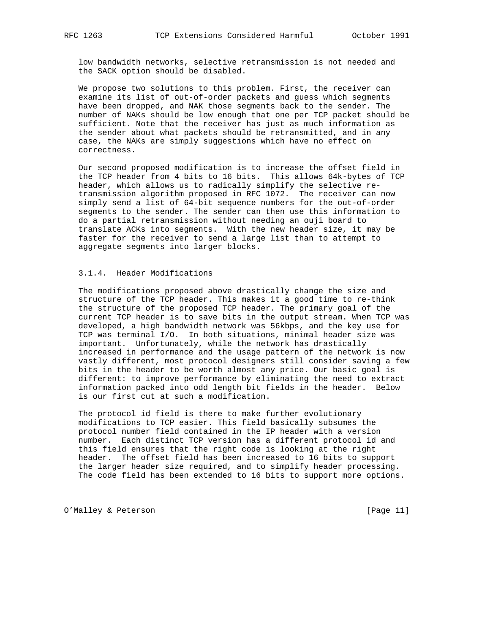low bandwidth networks, selective retransmission is not needed and the SACK option should be disabled.

 We propose two solutions to this problem. First, the receiver can examine its list of out-of-order packets and guess which segments have been dropped, and NAK those segments back to the sender. The number of NAKs should be low enough that one per TCP packet should be sufficient. Note that the receiver has just as much information as the sender about what packets should be retransmitted, and in any case, the NAKs are simply suggestions which have no effect on correctness.

 Our second proposed modification is to increase the offset field in the TCP header from 4 bits to 16 bits. This allows 64k-bytes of TCP header, which allows us to radically simplify the selective re transmission algorithm proposed in RFC 1072. The receiver can now simply send a list of 64-bit sequence numbers for the out-of-order segments to the sender. The sender can then use this information to do a partial retransmission without needing an ouji board to translate ACKs into segments. With the new header size, it may be faster for the receiver to send a large list than to attempt to aggregate segments into larger blocks.

# 3.1.4. Header Modifications

 The modifications proposed above drastically change the size and structure of the TCP header. This makes it a good time to re-think the structure of the proposed TCP header. The primary goal of the current TCP header is to save bits in the output stream. When TCP was developed, a high bandwidth network was 56kbps, and the key use for TCP was terminal I/O. In both situations, minimal header size was important. Unfortunately, while the network has drastically increased in performance and the usage pattern of the network is now vastly different, most protocol designers still consider saving a few bits in the header to be worth almost any price. Our basic goal is different: to improve performance by eliminating the need to extract information packed into odd length bit fields in the header. Below is our first cut at such a modification.

 The protocol id field is there to make further evolutionary modifications to TCP easier. This field basically subsumes the protocol number field contained in the IP header with a version number. Each distinct TCP version has a different protocol id and this field ensures that the right code is looking at the right header. The offset field has been increased to 16 bits to support the larger header size required, and to simplify header processing. The code field has been extended to 16 bits to support more options.

O'Malley & Peterson [Page 11]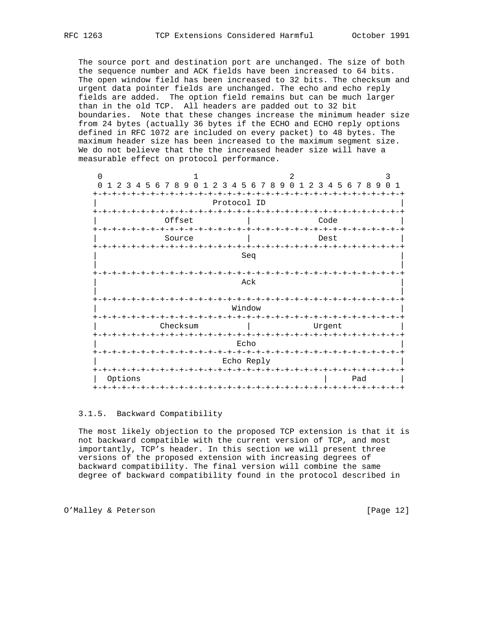The source port and destination port are unchanged. The size of both the sequence number and ACK fields have been increased to 64 bits. The open window field has been increased to 32 bits. The checksum and urgent data pointer fields are unchanged. The echo and echo reply fields are added. The option field remains but can be much larger than in the old TCP. All headers are padded out to 32 bit boundaries. Note that these changes increase the minimum header size from 24 bytes (actually 36 bytes if the ECHO and ECHO reply options defined in RFC 1072 are included on every packet) to 48 bytes. The maximum header size has been increased to the maximum segment size. We do not believe that the the increased header size will have a measurable effect on protocol performance.

| 2 3 4 5 6 7 8 9<br>$\Omega$<br>$\overline{1}$            |
|----------------------------------------------------------|
|                                                          |
|                                                          |
|                                                          |
| -+-+-+-+-+<br>$-+$                                       |
| $- + - + - + - +$                                        |
|                                                          |
|                                                          |
|                                                          |
| $- + - + - +$<br>$-+$                                    |
|                                                          |
|                                                          |
| - +<br>Pad<br>-+-+-+-+-+-+-+-+-+-+-+-+-+-+-+-+-+-+<br>-+ |
|                                                          |

### 3.1.5. Backward Compatibility

 The most likely objection to the proposed TCP extension is that it is not backward compatible with the current version of TCP, and most importantly, TCP's header. In this section we will present three versions of the proposed extension with increasing degrees of backward compatibility. The final version will combine the same degree of backward compatibility found in the protocol described in

O'Malley & Peterson [Page 12]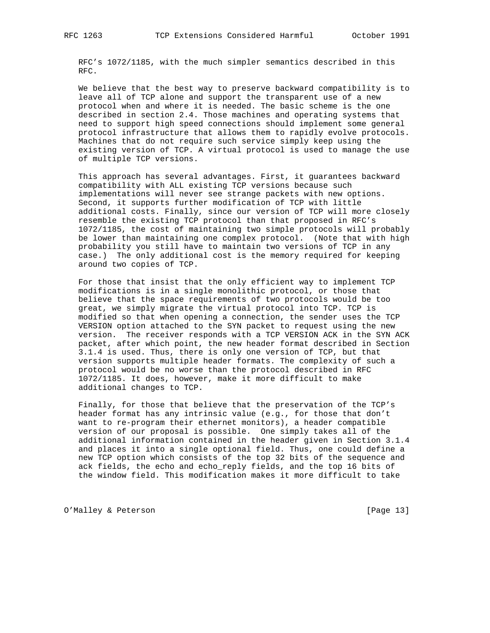RFC's 1072/1185, with the much simpler semantics described in this RFC.

 We believe that the best way to preserve backward compatibility is to leave all of TCP alone and support the transparent use of a new protocol when and where it is needed. The basic scheme is the one described in section 2.4. Those machines and operating systems that need to support high speed connections should implement some general protocol infrastructure that allows them to rapidly evolve protocols. Machines that do not require such service simply keep using the existing version of TCP. A virtual protocol is used to manage the use of multiple TCP versions.

 This approach has several advantages. First, it guarantees backward compatibility with ALL existing TCP versions because such implementations will never see strange packets with new options. Second, it supports further modification of TCP with little additional costs. Finally, since our version of TCP will more closely resemble the existing TCP protocol than that proposed in RFC's 1072/1185, the cost of maintaining two simple protocols will probably be lower than maintaining one complex protocol. (Note that with high probability you still have to maintain two versions of TCP in any case.) The only additional cost is the memory required for keeping around two copies of TCP.

 For those that insist that the only efficient way to implement TCP modifications is in a single monolithic protocol, or those that believe that the space requirements of two protocols would be too great, we simply migrate the virtual protocol into TCP. TCP is modified so that when opening a connection, the sender uses the TCP VERSION option attached to the SYN packet to request using the new version. The receiver responds with a TCP VERSION ACK in the SYN ACK packet, after which point, the new header format described in Section 3.1.4 is used. Thus, there is only one version of TCP, but that version supports multiple header formats. The complexity of such a protocol would be no worse than the protocol described in RFC 1072/1185. It does, however, make it more difficult to make additional changes to TCP.

 Finally, for those that believe that the preservation of the TCP's header format has any intrinsic value (e.g., for those that don't want to re-program their ethernet monitors), a header compatible version of our proposal is possible. One simply takes all of the additional information contained in the header given in Section 3.1.4 and places it into a single optional field. Thus, one could define a new TCP option which consists of the top 32 bits of the sequence and ack fields, the echo and echo\_reply fields, and the top 16 bits of the window field. This modification makes it more difficult to take

O'Malley & Peterson [Page 13]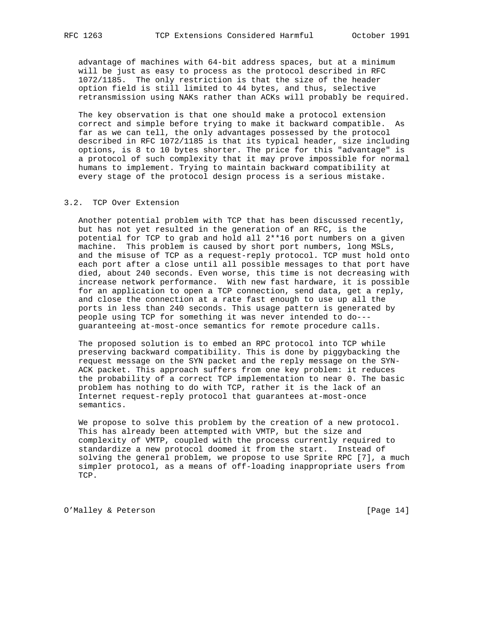advantage of machines with 64-bit address spaces, but at a minimum will be just as easy to process as the protocol described in RFC 1072/1185. The only restriction is that the size of the header option field is still limited to 44 bytes, and thus, selective retransmission using NAKs rather than ACKs will probably be required.

 The key observation is that one should make a protocol extension correct and simple before trying to make it backward compatible. As far as we can tell, the only advantages possessed by the protocol described in RFC 1072/1185 is that its typical header, size including options, is 8 to 10 bytes shorter. The price for this "advantage" is a protocol of such complexity that it may prove impossible for normal humans to implement. Trying to maintain backward compatibility at every stage of the protocol design process is a serious mistake.

## 3.2. TCP Over Extension

 Another potential problem with TCP that has been discussed recently, but has not yet resulted in the generation of an RFC, is the potential for TCP to grab and hold all 2\*\*16 port numbers on a given machine. This problem is caused by short port numbers, long MSLs, and the misuse of TCP as a request-reply protocol. TCP must hold onto each port after a close until all possible messages to that port have died, about 240 seconds. Even worse, this time is not decreasing with increase network performance. With new fast hardware, it is possible for an application to open a TCP connection, send data, get a reply, and close the connection at a rate fast enough to use up all the ports in less than 240 seconds. This usage pattern is generated by people using TCP for something it was never intended to do-- guaranteeing at-most-once semantics for remote procedure calls.

 The proposed solution is to embed an RPC protocol into TCP while preserving backward compatibility. This is done by piggybacking the request message on the SYN packet and the reply message on the SYN- ACK packet. This approach suffers from one key problem: it reduces the probability of a correct TCP implementation to near 0. The basic problem has nothing to do with TCP, rather it is the lack of an Internet request-reply protocol that guarantees at-most-once semantics.

 We propose to solve this problem by the creation of a new protocol. This has already been attempted with VMTP, but the size and complexity of VMTP, coupled with the process currently required to standardize a new protocol doomed it from the start. Instead of solving the general problem, we propose to use Sprite RPC [7], a much simpler protocol, as a means of off-loading inappropriate users from TCP.

O'Malley & Peterson [Page 14]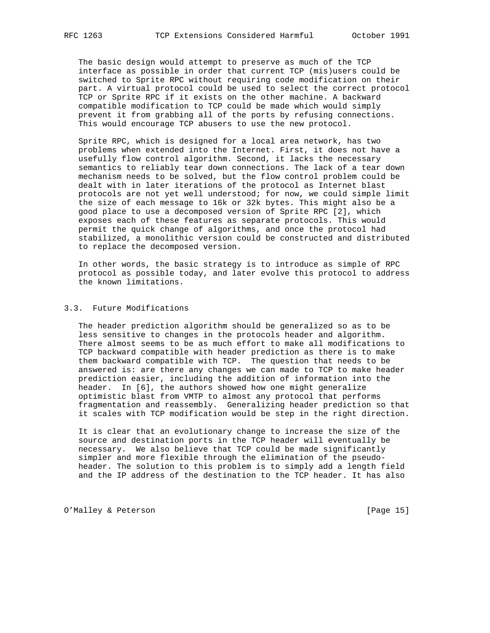The basic design would attempt to preserve as much of the TCP interface as possible in order that current TCP (mis)users could be switched to Sprite RPC without requiring code modification on their part. A virtual protocol could be used to select the correct protocol TCP or Sprite RPC if it exists on the other machine. A backward compatible modification to TCP could be made which would simply prevent it from grabbing all of the ports by refusing connections. This would encourage TCP abusers to use the new protocol.

 Sprite RPC, which is designed for a local area network, has two problems when extended into the Internet. First, it does not have a usefully flow control algorithm. Second, it lacks the necessary semantics to reliably tear down connections. The lack of a tear down mechanism needs to be solved, but the flow control problem could be dealt with in later iterations of the protocol as Internet blast protocols are not yet well understood; for now, we could simple limit the size of each message to 16k or 32k bytes. This might also be a good place to use a decomposed version of Sprite RPC [2], which exposes each of these features as separate protocols. This would permit the quick change of algorithms, and once the protocol had stabilized, a monolithic version could be constructed and distributed to replace the decomposed version.

 In other words, the basic strategy is to introduce as simple of RPC protocol as possible today, and later evolve this protocol to address the known limitations.

# 3.3. Future Modifications

 The header prediction algorithm should be generalized so as to be less sensitive to changes in the protocols header and algorithm. There almost seems to be as much effort to make all modifications to TCP backward compatible with header prediction as there is to make them backward compatible with TCP. The question that needs to be answered is: are there any changes we can made to TCP to make header prediction easier, including the addition of information into the header. In [6], the authors showed how one might generalize optimistic blast from VMTP to almost any protocol that performs fragmentation and reassembly. Generalizing header prediction so that it scales with TCP modification would be step in the right direction.

 It is clear that an evolutionary change to increase the size of the source and destination ports in the TCP header will eventually be necessary. We also believe that TCP could be made significantly simpler and more flexible through the elimination of the pseudo header. The solution to this problem is to simply add a length field and the IP address of the destination to the TCP header. It has also

O'Malley & Peterson [Page 15]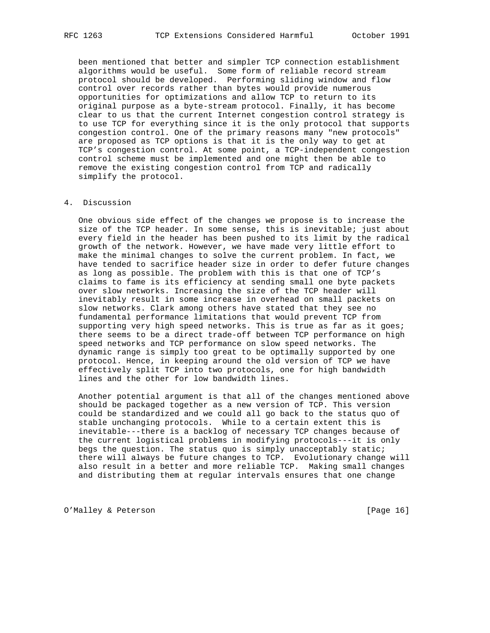been mentioned that better and simpler TCP connection establishment algorithms would be useful. Some form of reliable record stream protocol should be developed. Performing sliding window and flow control over records rather than bytes would provide numerous opportunities for optimizations and allow TCP to return to its original purpose as a byte-stream protocol. Finally, it has become clear to us that the current Internet congestion control strategy is to use TCP for everything since it is the only protocol that supports congestion control. One of the primary reasons many "new protocols" are proposed as TCP options is that it is the only way to get at TCP's congestion control. At some point, a TCP-independent congestion control scheme must be implemented and one might then be able to remove the existing congestion control from TCP and radically simplify the protocol.

## 4. Discussion

 One obvious side effect of the changes we propose is to increase the size of the TCP header. In some sense, this is inevitable; just about every field in the header has been pushed to its limit by the radical growth of the network. However, we have made very little effort to make the minimal changes to solve the current problem. In fact, we have tended to sacrifice header size in order to defer future changes as long as possible. The problem with this is that one of TCP's claims to fame is its efficiency at sending small one byte packets over slow networks. Increasing the size of the TCP header will inevitably result in some increase in overhead on small packets on slow networks. Clark among others have stated that they see no fundamental performance limitations that would prevent TCP from supporting very high speed networks. This is true as far as it goes; there seems to be a direct trade-off between TCP performance on high speed networks and TCP performance on slow speed networks. The dynamic range is simply too great to be optimally supported by one protocol. Hence, in keeping around the old version of TCP we have effectively split TCP into two protocols, one for high bandwidth lines and the other for low bandwidth lines.

 Another potential argument is that all of the changes mentioned above should be packaged together as a new version of TCP. This version could be standardized and we could all go back to the status quo of stable unchanging protocols. While to a certain extent this is inevitable---there is a backlog of necessary TCP changes because of the current logistical problems in modifying protocols---it is only begs the question. The status quo is simply unacceptably static; there will always be future changes to TCP. Evolutionary change will also result in a better and more reliable TCP. Making small changes and distributing them at regular intervals ensures that one change

O'Malley & Peterson [Page 16]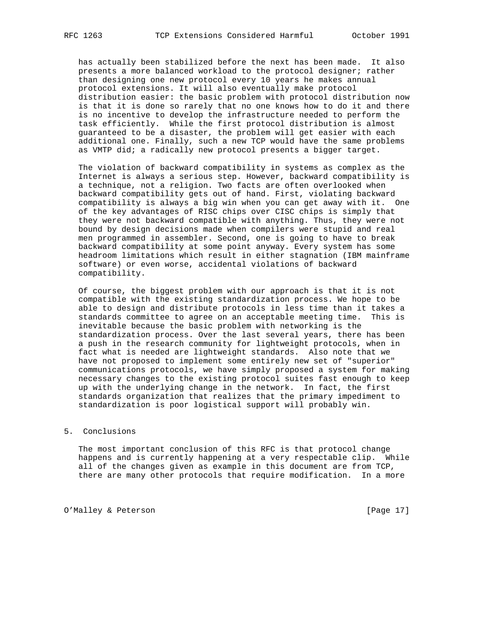has actually been stabilized before the next has been made. It also presents a more balanced workload to the protocol designer; rather than designing one new protocol every 10 years he makes annual protocol extensions. It will also eventually make protocol distribution easier: the basic problem with protocol distribution now is that it is done so rarely that no one knows how to do it and there is no incentive to develop the infrastructure needed to perform the task efficiently. While the first protocol distribution is almost guaranteed to be a disaster, the problem will get easier with each additional one. Finally, such a new TCP would have the same problems as VMTP did; a radically new protocol presents a bigger target.

 The violation of backward compatibility in systems as complex as the Internet is always a serious step. However, backward compatibility is a technique, not a religion. Two facts are often overlooked when backward compatibility gets out of hand. First, violating backward compatibility is always a big win when you can get away with it. One of the key advantages of RISC chips over CISC chips is simply that they were not backward compatible with anything. Thus, they were not bound by design decisions made when compilers were stupid and real men programmed in assembler. Second, one is going to have to break backward compatibility at some point anyway. Every system has some headroom limitations which result in either stagnation (IBM mainframe software) or even worse, accidental violations of backward compatibility.

 Of course, the biggest problem with our approach is that it is not compatible with the existing standardization process. We hope to be able to design and distribute protocols in less time than it takes a standards committee to agree on an acceptable meeting time. This is inevitable because the basic problem with networking is the standardization process. Over the last several years, there has been a push in the research community for lightweight protocols, when in fact what is needed are lightweight standards. Also note that we have not proposed to implement some entirely new set of "superior" communications protocols, we have simply proposed a system for making necessary changes to the existing protocol suites fast enough to keep up with the underlying change in the network. In fact, the first standards organization that realizes that the primary impediment to standardization is poor logistical support will probably win.

# 5. Conclusions

 The most important conclusion of this RFC is that protocol change happens and is currently happening at a very respectable clip. While all of the changes given as example in this document are from TCP, there are many other protocols that require modification. In a more

O'Malley & Peterson [Page 17]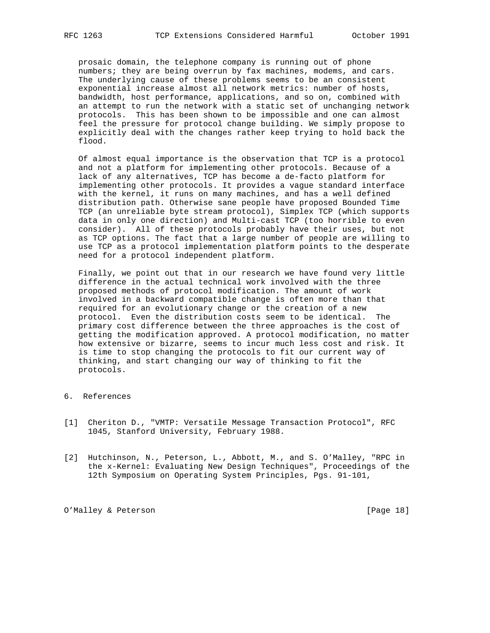prosaic domain, the telephone company is running out of phone numbers; they are being overrun by fax machines, modems, and cars. The underlying cause of these problems seems to be an consistent exponential increase almost all network metrics: number of hosts, bandwidth, host performance, applications, and so on, combined with an attempt to run the network with a static set of unchanging network protocols. This has been shown to be impossible and one can almost feel the pressure for protocol change building. We simply propose to explicitly deal with the changes rather keep trying to hold back the flood.

 Of almost equal importance is the observation that TCP is a protocol and not a platform for implementing other protocols. Because of a lack of any alternatives, TCP has become a de-facto platform for implementing other protocols. It provides a vague standard interface with the kernel, it runs on many machines, and has a well defined distribution path. Otherwise sane people have proposed Bounded Time TCP (an unreliable byte stream protocol), Simplex TCP (which supports data in only one direction) and Multi-cast TCP (too horrible to even consider). All of these protocols probably have their uses, but not as TCP options. The fact that a large number of people are willing to use TCP as a protocol implementation platform points to the desperate need for a protocol independent platform.

 Finally, we point out that in our research we have found very little difference in the actual technical work involved with the three proposed methods of protocol modification. The amount of work involved in a backward compatible change is often more than that required for an evolutionary change or the creation of a new protocol. Even the distribution costs seem to be identical. The primary cost difference between the three approaches is the cost of getting the modification approved. A protocol modification, no matter how extensive or bizarre, seems to incur much less cost and risk. It is time to stop changing the protocols to fit our current way of thinking, and start changing our way of thinking to fit the protocols.

- 6. References
- [1] Cheriton D., "VMTP: Versatile Message Transaction Protocol", RFC 1045, Stanford University, February 1988.
- [2] Hutchinson, N., Peterson, L., Abbott, M., and S. O'Malley, "RPC in the x-Kernel: Evaluating New Design Techniques", Proceedings of the 12th Symposium on Operating System Principles, Pgs. 91-101,

O'Malley & Peterson [Page 18]